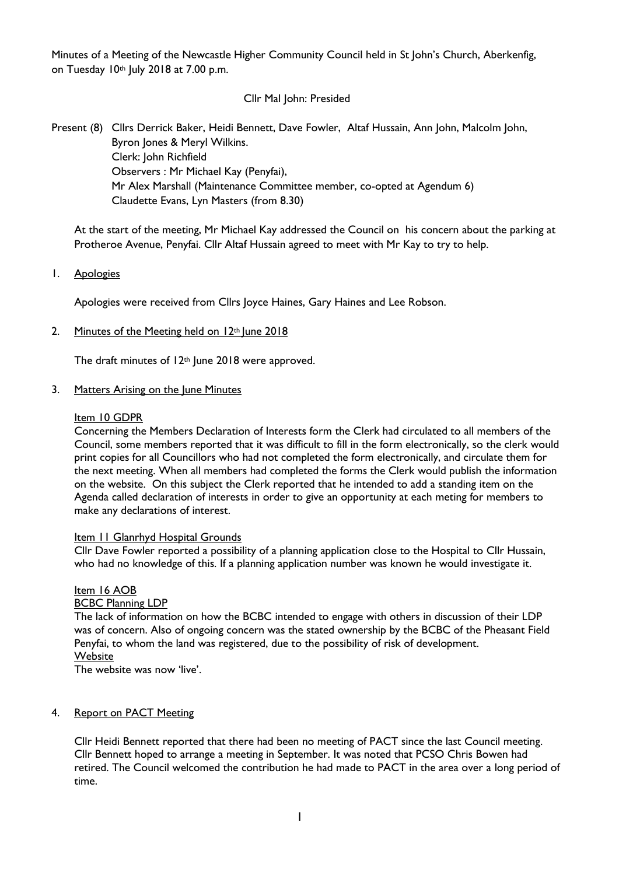Minutes of a Meeting of the Newcastle Higher Community Council held in St John's Church, Aberkenfig, on Tuesday 10th July 2018 at 7.00 p.m.

### Cllr Mal John: Presided

Present (8) Cllrs Derrick Baker, Heidi Bennett, Dave Fowler, Altaf Hussain, Ann John, Malcolm John, Byron Jones & Meryl Wilkins. Clerk: John Richfield Observers : Mr Michael Kay (Penyfai), Mr Alex Marshall (Maintenance Committee member, co-opted at Agendum 6) Claudette Evans, Lyn Masters (from 8.30)

At the start of the meeting, Mr Michael Kay addressed the Council on his concern about the parking at Protheroe Avenue, Penyfai. Cllr Altaf Hussain agreed to meet with Mr Kay to try to help.

### 1. Apologies

Apologies were received from Cllrs Joyce Haines, Gary Haines and Lee Robson.

2. Minutes of the Meeting held on  $12<sup>th</sup>$  June 2018

The draft minutes of 12<sup>th</sup> June 2018 were approved.

#### 3. Matters Arising on the June Minutes

#### Item 10 GDPR

Concerning the Members Declaration of Interests form the Clerk had circulated to all members of the Council, some members reported that it was difficult to fill in the form electronically, so the clerk would print copies for all Councillors who had not completed the form electronically, and circulate them for the next meeting. When all members had completed the forms the Clerk would publish the information on the website. On this subject the Clerk reported that he intended to add a standing item on the Agenda called declaration of interests in order to give an opportunity at each meting for members to make any declarations of interest.

#### Item II Glanrhyd Hospital Grounds

Cllr Dave Fowler reported a possibility of a planning application close to the Hospital to Cllr Hussain, who had no knowledge of this. If a planning application number was known he would investigate it.

#### Item 16 AOB

#### BCBC Planning LDP

The lack of information on how the BCBC intended to engage with others in discussion of their LDP was of concern. Also of ongoing concern was the stated ownership by the BCBC of the Pheasant Field Penyfai, to whom the land was registered, due to the possibility of risk of development. **Website** 

The website was now 'live'.

### 4. Report on PACT Meeting

Cllr Heidi Bennett reported that there had been no meeting of PACT since the last Council meeting. Cllr Bennett hoped to arrange a meeting in September. It was noted that PCSO Chris Bowen had retired. The Council welcomed the contribution he had made to PACT in the area over a long period of time.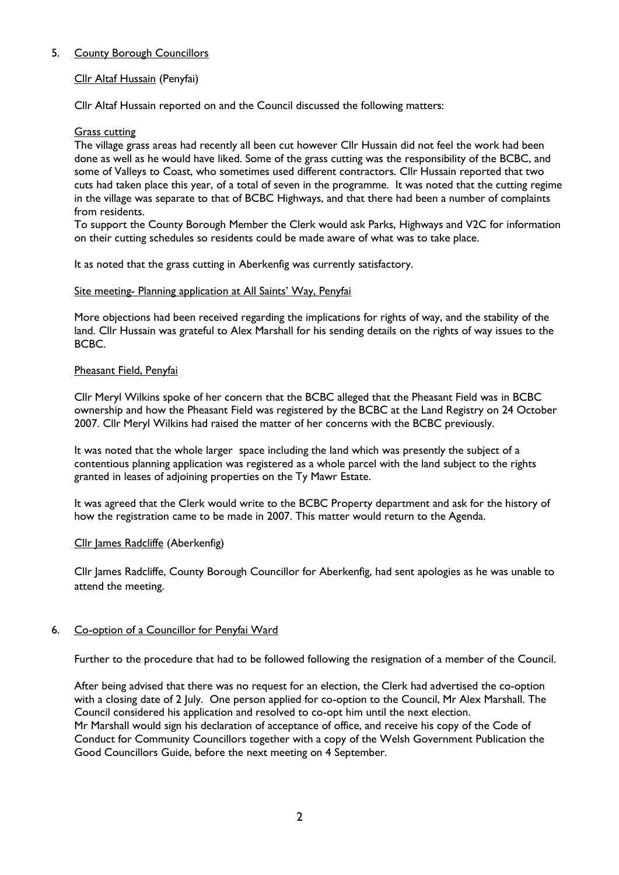# 5. County Borough Councillors

# Cllr Altaf Hussain (Penyfai)

Cllr Altaf Hussain reported on and the Council discussed the following matters:

#### Grass cutting

The village grass areas had recently all been cut however Cllr Hussain did not feel the work had been done as well as he would have liked. Some of the grass cutting was the responsibility of the BCBC, and some of Valleys to Coast, who sometimes used different contractors. Cllr Hussain reported that two cuts had taken place this year, of a total of seven in the programme. It was noted that the cutting regime in the village was separate to that of BCBC Highways, and that there had been a number of complaints from residents.

To support the County Borough Member the Clerk would ask Parks, Highways and V2C for information on their cutting schedules so residents could be made aware of what was to take place.

It as noted that the grass cutting in Aberkenfig was currently satisfactory.

#### Site meeting- Planning application at All Saints' Way, Penyfai

More objections had been received regarding the implications for rights of way, and the stability of the land. Cllr Hussain was grateful to Alex Marshall for his sending details on the rights of way issues to the BCBC.

### Pheasant Field, Penyfai

Cllr Meryl Wilkins spoke of her concern that the BCBC alleged that the Pheasant Field was in BCBC ownership and how the Pheasant Field was registered by the BCBC at the Land Registry on 24 October 2007. Cllr Meryl Wilkins had raised the matter of her concerns with the BCBC previously.

It was noted that the whole larger space including the land which was presently the subject of a contentious planning application was registered as a whole parcel with the land subject to the rights granted in leases of adjoining properties on the Ty Mawr Estate.

It was agreed that the Clerk would write to the BCBC Property department and ask for the history of how the registration came to be made in 2007. This matter would return to the Agenda.

#### Cllr James Radcliffe (Aberkenfig)

Cllr James Radcliffe, County Borough Councillor for Aberkenfig, had sent apologies as he was unable to attend the meeting.

#### 6. Co-option of a Councillor for Penyfai Ward

Further to the procedure that had to be followed following the resignation of a member of the Council.

After being advised that there was no request for an election, the Clerk had advertised the co-option with a closing date of 2 July. One person applied for co-option to the Council, Mr Alex Marshall. The Council considered his application and resolved to co-opt him until the next election. Mr Marshall would sign his declaration of acceptance of office, and receive his copy of the Code of Conduct for Community Councillors together with a copy of the Welsh Government Publication the Good Councillors Guide, before the next meeting on 4 September.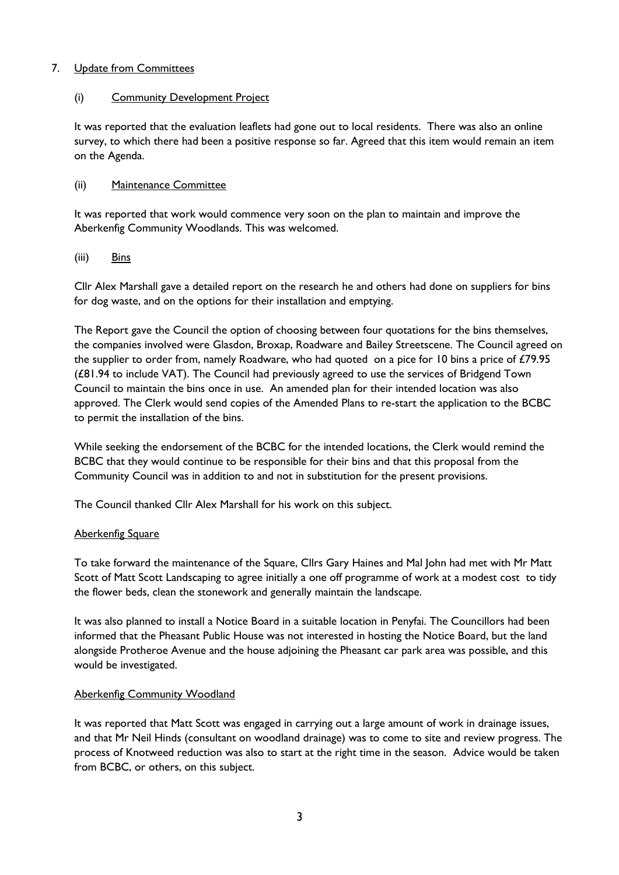# 7. Update from Committees

# (i) Community Development Project

It was reported that the evaluation leaflets had gone out to local residents. There was also an online survey, to which there had been a positive response so far. Agreed that this item would remain an item on the Agenda.

### (ii) Maintenance Committee

It was reported that work would commence very soon on the plan to maintain and improve the Aberkenfig Community Woodlands. This was welcomed.

### (iii) Bins

Cllr Alex Marshall gave a detailed report on the research he and others had done on suppliers for bins for dog waste, and on the options for their installation and emptying.

The Report gave the Council the option of choosing between four quotations for the bins themselves, the companies involved were Glasdon, Broxap, Roadware and Bailey Streetscene. The Council agreed on the supplier to order from, namely Roadware, who had quoted on a pice for 10 bins a price of £79.95 (£81.94 to include VAT). The Council had previously agreed to use the services of Bridgend Town Council to maintain the bins once in use. An amended plan for their intended location was also approved. The Clerk would send copies of the Amended Plans to re-start the application to the BCBC to permit the installation of the bins.

While seeking the endorsement of the BCBC for the intended locations, the Clerk would remind the BCBC that they would continue to be responsible for their bins and that this proposal from the Community Council was in addition to and not in substitution for the present provisions.

The Council thanked Cllr Alex Marshall for his work on this subject.

# **Aberkenfig Square**

To take forward the maintenance of the Square, Cllrs Gary Haines and Mal John had met with Mr Matt Scott of Matt Scott Landscaping to agree initially a one off programme of work at a modest cost to tidy the flower beds, clean the stonework and generally maintain the landscape.

It was also planned to install a Notice Board in a suitable location in Penyfai. The Councillors had been informed that the Pheasant Public House was not interested in hosting the Notice Board, but the land alongside Protheroe Avenue and the house adjoining the Pheasant car park area was possible, and this would be investigated.

#### Aberkenfig Community Woodland

It was reported that Matt Scott was engaged in carrying out a large amount of work in drainage issues, and that Mr Neil Hinds (consultant on woodland drainage) was to come to site and review progress. The process of Knotweed reduction was also to start at the right time in the season. Advice would be taken from BCBC, or others, on this subject.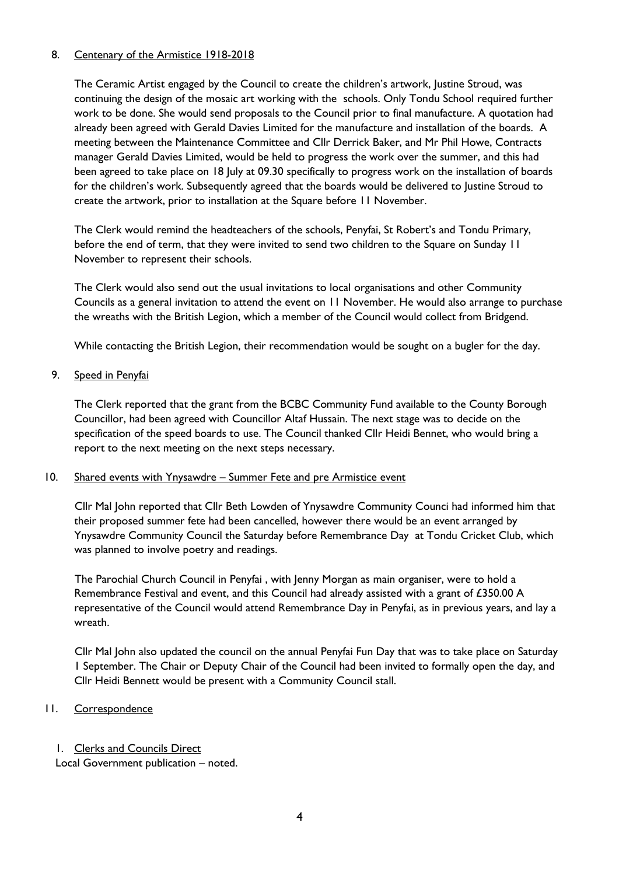### 8. Centenary of the Armistice 1918-2018

The Ceramic Artist engaged by the Council to create the children's artwork, Justine Stroud, was continuing the design of the mosaic art working with the schools. Only Tondu School required further work to be done. She would send proposals to the Council prior to final manufacture. A quotation had already been agreed with Gerald Davies Limited for the manufacture and installation of the boards. A meeting between the Maintenance Committee and Cllr Derrick Baker, and Mr Phil Howe, Contracts manager Gerald Davies Limited, would be held to progress the work over the summer, and this had been agreed to take place on 18 July at 09.30 specifically to progress work on the installation of boards for the children's work. Subsequently agreed that the boards would be delivered to Justine Stroud to create the artwork, prior to installation at the Square before 11 November.

The Clerk would remind the headteachers of the schools, Penyfai, St Robert's and Tondu Primary, before the end of term, that they were invited to send two children to the Square on Sunday 11 November to represent their schools.

The Clerk would also send out the usual invitations to local organisations and other Community Councils as a general invitation to attend the event on 11 November. He would also arrange to purchase the wreaths with the British Legion, which a member of the Council would collect from Bridgend.

While contacting the British Legion, their recommendation would be sought on a bugler for the day.

9. Speed in Penyfai

The Clerk reported that the grant from the BCBC Community Fund available to the County Borough Councillor, had been agreed with Councillor Altaf Hussain. The next stage was to decide on the specification of the speed boards to use. The Council thanked Cllr Heidi Bennet, who would bring a report to the next meeting on the next steps necessary.

#### 10. Shared events with Ynysawdre – Summer Fete and pre Armistice event

Cllr Mal John reported that Cllr Beth Lowden of Ynysawdre Community Counci had informed him that their proposed summer fete had been cancelled, however there would be an event arranged by Ynysawdre Community Council the Saturday before Remembrance Day at Tondu Cricket Club, which was planned to involve poetry and readings.

The Parochial Church Council in Penyfai , with Jenny Morgan as main organiser, were to hold a Remembrance Festival and event, and this Council had already assisted with a grant of £350.00 A representative of the Council would attend Remembrance Day in Penyfai, as in previous years, and lay a wreath.

Cllr Mal John also updated the council on the annual Penyfai Fun Day that was to take place on Saturday 1 September. The Chair or Deputy Chair of the Council had been invited to formally open the day, and Cllr Heidi Bennett would be present with a Community Council stall.

# 11. Correspondence

1. Clerks and Councils Direct Local Government publication – noted.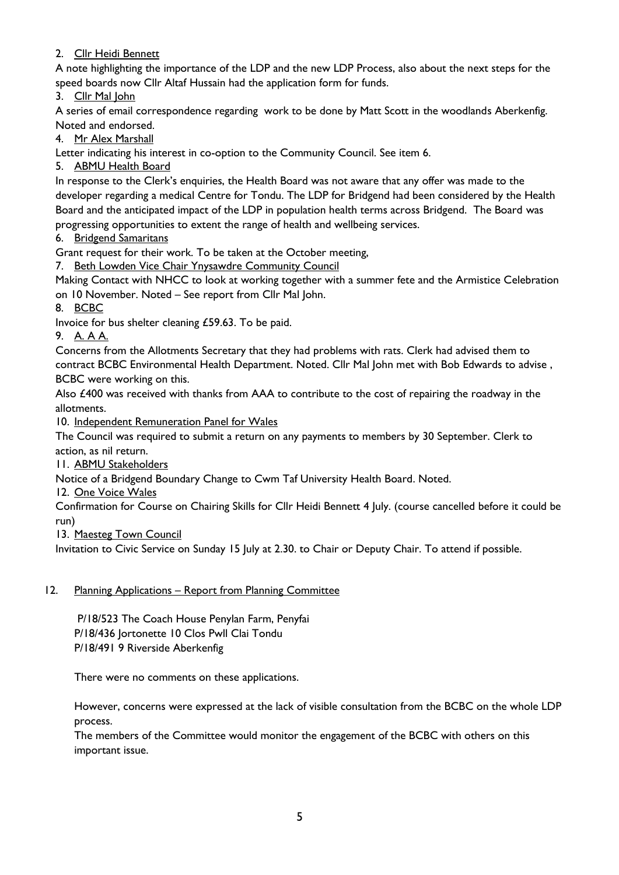# 2. Cllr Heidi Bennett

A note highlighting the importance of the LDP and the new LDP Process, also about the next steps for the speed boards now Cllr Altaf Hussain had the application form for funds.

3. Cllr Mal John

A series of email correspondence regarding work to be done by Matt Scott in the woodlands Aberkenfig. Noted and endorsed.

4. Mr Alex Marshall

Letter indicating his interest in co-option to the Community Council. See item 6.

5. ABMU Health Board

In response to the Clerk's enquiries, the Health Board was not aware that any offer was made to the developer regarding a medical Centre for Tondu. The LDP for Bridgend had been considered by the Health Board and the anticipated impact of the LDP in population health terms across Bridgend. The Board was progressing opportunities to extent the range of health and wellbeing services.

6. Bridgend Samaritans

Grant request for their work. To be taken at the October meeting,

7. Beth Lowden Vice Chair Ynysawdre Community Council

Making Contact with NHCC to look at working together with a summer fete and the Armistice Celebration on 10 November. Noted – See report from Cllr Mal John.

8. BCBC

Invoice for bus shelter cleaning £59.63. To be paid.

9. A. A A.

Concerns from the Allotments Secretary that they had problems with rats. Clerk had advised them to contract BCBC Environmental Health Department. Noted. Cllr Mal John met with Bob Edwards to advise , BCBC were working on this.

Also £400 was received with thanks from AAA to contribute to the cost of repairing the roadway in the allotments.

10. Independent Remuneration Panel for Wales

The Council was required to submit a return on any payments to members by 30 September. Clerk to action, as nil return.

11. ABMU Stakeholders

Notice of a Bridgend Boundary Change to Cwm Taf University Health Board. Noted.

12. One Voice Wales

Confirmation for Course on Chairing Skills for Cllr Heidi Bennett 4 July. (course cancelled before it could be run)

13. Maesteg Town Council

Invitation to Civic Service on Sunday 15 July at 2.30. to Chair or Deputy Chair. To attend if possible.

# 12. Planning Applications – Report from Planning Committee

 P/18/523 The Coach House Penylan Farm, Penyfai P/18/436 Jortonette 10 Clos Pwll Clai Tondu P/18/491 9 Riverside Aberkenfig

There were no comments on these applications.

However, concerns were expressed at the lack of visible consultation from the BCBC on the whole LDP process.

The members of the Committee would monitor the engagement of the BCBC with others on this important issue.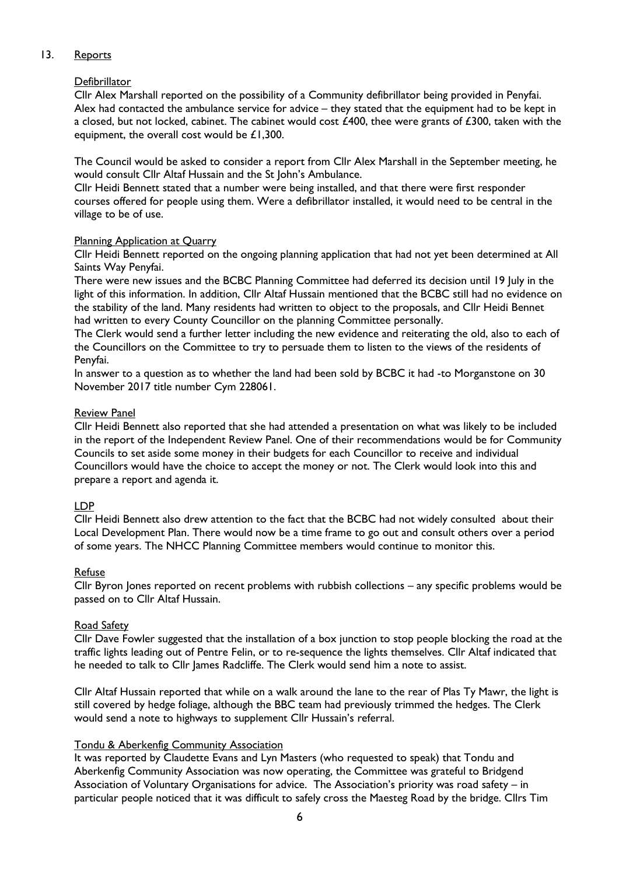# 13. Reports

# **Defibrillator**

Cllr Alex Marshall reported on the possibility of a Community defibrillator being provided in Penyfai. Alex had contacted the ambulance service for advice – they stated that the equipment had to be kept in a closed, but not locked, cabinet. The cabinet would cost  $\angle 400$ , thee were grants of  $\angle 300$ , taken with the equipment, the overall cost would be £1,300.

The Council would be asked to consider a report from Cllr Alex Marshall in the September meeting, he would consult Cllr Altaf Hussain and the St John's Ambulance.

Cllr Heidi Bennett stated that a number were being installed, and that there were first responder courses offered for people using them. Were a defibrillator installed, it would need to be central in the village to be of use.

# Planning Application at Quarry

Cllr Heidi Bennett reported on the ongoing planning application that had not yet been determined at All Saints Way Penyfai.

There were new issues and the BCBC Planning Committee had deferred its decision until 19 July in the light of this information. In addition, Cllr Altaf Hussain mentioned that the BCBC still had no evidence on the stability of the land. Many residents had written to object to the proposals, and Cllr Heidi Bennet had written to every County Councillor on the planning Committee personally.

The Clerk would send a further letter including the new evidence and reiterating the old, also to each of the Councillors on the Committee to try to persuade them to listen to the views of the residents of Penyfai.

In answer to a question as to whether the land had been sold by BCBC it had -to Morganstone on 30 November 2017 title number Cym 228061.

# Review Panel

Cllr Heidi Bennett also reported that she had attended a presentation on what was likely to be included in the report of the Independent Review Panel. One of their recommendations would be for Community Councils to set aside some money in their budgets for each Councillor to receive and individual Councillors would have the choice to accept the money or not. The Clerk would look into this and prepare a report and agenda it.

# LDP

Cllr Heidi Bennett also drew attention to the fact that the BCBC had not widely consulted about their Local Development Plan. There would now be a time frame to go out and consult others over a period of some years. The NHCC Planning Committee members would continue to monitor this.

# Refuse

Cllr Byron Jones reported on recent problems with rubbish collections – any specific problems would be passed on to Cllr Altaf Hussain.

# Road Safety

Cllr Dave Fowler suggested that the installation of a box junction to stop people blocking the road at the traffic lights leading out of Pentre Felin, or to re-sequence the lights themselves. Cllr Altaf indicated that he needed to talk to Cllr James Radcliffe. The Clerk would send him a note to assist.

Cllr Altaf Hussain reported that while on a walk around the lane to the rear of Plas Ty Mawr, the light is still covered by hedge foliage, although the BBC team had previously trimmed the hedges. The Clerk would send a note to highways to supplement Cllr Hussain's referral.

# Tondu & Aberkenfig Community Association

It was reported by Claudette Evans and Lyn Masters (who requested to speak) that Tondu and Aberkenfig Community Association was now operating, the Committee was grateful to Bridgend Association of Voluntary Organisations for advice. The Association's priority was road safety – in particular people noticed that it was difficult to safely cross the Maesteg Road by the bridge. Cllrs Tim